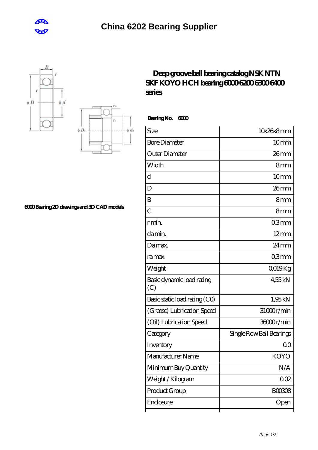





## **[6000 Bearing 2D drawings and 3D CAD models](https://m.cretan-music.com/pic-824082.html)**

## **[Deep groove ball bearing catalog NSK NTN](https://m.cretan-music.com/skf-km2-bearing/koyo-6000.html) [SKF KOYO HCH bearing 6000 6200 6300 6400](https://m.cretan-music.com/skf-km2-bearing/koyo-6000.html) [series](https://m.cretan-music.com/skf-km2-bearing/koyo-6000.html)**

 **Bearing No. 6000**

| Size                             | 10x26x8mm                |
|----------------------------------|--------------------------|
| <b>Bore Diameter</b>             | 10 <sub>mm</sub>         |
| Outer Diameter                   | $26$ mm                  |
| Width                            | 8mm                      |
| d                                | 10 <sub>mm</sub>         |
| D                                | $26$ mm                  |
| B                                | 8mm                      |
| $\overline{C}$                   | 8mm                      |
| r min.                           | Q3mm                     |
| da min.                          | $12 \text{mm}$           |
| Damax.                           | $24 \,\mathrm{mm}$       |
| ra max.                          | Q3mm                     |
| Weight                           | QO19Kg                   |
| Basic dynamic load rating<br>(C) | 455kN                    |
| Basic static load rating (CO)    | 1,95kN                   |
| (Grease) Lubrication Speed       | 31000r/min               |
| (Oil) Lubrication Speed          | 36000r/min               |
| Category                         | Single Row Ball Bearings |
| Inventory                        | 00                       |
| Manufacturer Name                | <b>KOYO</b>              |
| Minimum Buy Quantity             | N/A                      |
| Weight / Kilogram                | 002                      |
| Product Group                    | <b>BOO3O8</b>            |
| Enclosure                        | Open                     |
|                                  |                          |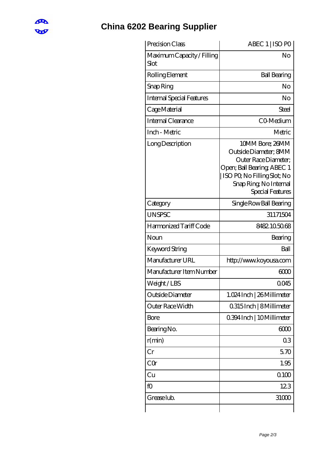

## **[China 6202 Bearing Supplier](https://m.cretan-music.com)**

| Precision Class                    | ABEC 1   ISO PO                                                                                                                                                            |
|------------------------------------|----------------------------------------------------------------------------------------------------------------------------------------------------------------------------|
| Maximum Capacity / Filling<br>Slot | No                                                                                                                                                                         |
| Rolling Element                    | <b>Ball Bearing</b>                                                                                                                                                        |
| Snap Ring                          | No                                                                                                                                                                         |
| <b>Internal Special Features</b>   | No                                                                                                                                                                         |
| Cage Material                      | Steel                                                                                                                                                                      |
| Internal Clearance                 | CO-Medium                                                                                                                                                                  |
| Inch - Metric                      | Metric                                                                                                                                                                     |
| Long Description                   | 10MM Bore; 26MM<br>Outside Diameter; 8MM<br>Outer Race Diameter:<br>Open; Ball Bearing; ABEC 1<br>ISO PQ No Filling Slot; No<br>Snap Ring, No Internal<br>Special Features |
| Category                           | Single Row Ball Bearing                                                                                                                                                    |
| <b>UNSPSC</b>                      | 31171504                                                                                                                                                                   |
| Harmonized Tariff Code             | 8482105068                                                                                                                                                                 |
| Noun                               | Bearing                                                                                                                                                                    |
| Keyword String                     | Ball                                                                                                                                                                       |
| Manufacturer URL                   | http://www.koyousa.com                                                                                                                                                     |
| Manufacturer Item Number           | 6000                                                                                                                                                                       |
| Weight/LBS                         | 0045                                                                                                                                                                       |
| Outside Diameter                   | 1.024 Inch   26 Millimeter                                                                                                                                                 |
| Outer Race Width                   | 0.315 Inch   8 Millimeter                                                                                                                                                  |
| Bore                               | 0.394 Inch   10 Millimeter                                                                                                                                                 |
| Bearing No.                        | 6000                                                                                                                                                                       |
| r(min)                             | 03                                                                                                                                                                         |
| Cr                                 | 570                                                                                                                                                                        |
| CQr                                | 1.95                                                                                                                                                                       |
| Cu                                 | 0100                                                                                                                                                                       |
| fO                                 | 123                                                                                                                                                                        |
| Grease lub.                        | 31000                                                                                                                                                                      |